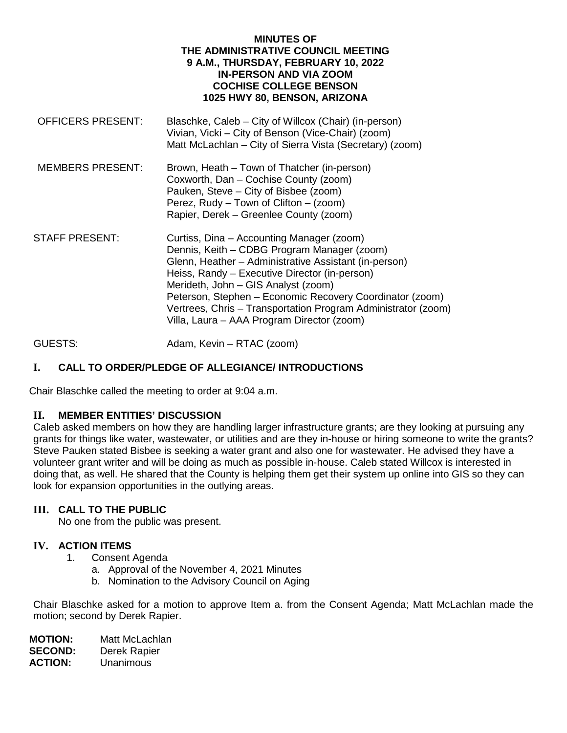#### **MINUTES OF THE ADMINISTRATIVE COUNCIL MEETING 9 A.M., THURSDAY, FEBRUARY 10, 2022 IN-PERSON AND VIA ZOOM COCHISE COLLEGE BENSON 1025 HWY 80, BENSON, ARIZONA**

| <b>OFFICERS PRESENT:</b> | Blaschke, Caleb – City of Willcox (Chair) (in-person)<br>Vivian, Vicki - City of Benson (Vice-Chair) (zoom)<br>Matt McLachlan – City of Sierra Vista (Secretary) (zoom)                                                                                                                                                                                                                                              |
|--------------------------|----------------------------------------------------------------------------------------------------------------------------------------------------------------------------------------------------------------------------------------------------------------------------------------------------------------------------------------------------------------------------------------------------------------------|
| <b>MEMBERS PRESENT:</b>  | Brown, Heath – Town of Thatcher (in-person)<br>Coxworth, Dan - Cochise County (zoom)<br>Pauken, Steve – City of Bisbee (zoom)<br>Perez, Rudy – Town of Clifton – (zoom)<br>Rapier, Derek – Greenlee County (zoom)                                                                                                                                                                                                    |
| <b>STAFF PRESENT:</b>    | Curtiss, Dina – Accounting Manager (zoom)<br>Dennis, Keith – CDBG Program Manager (zoom)<br>Glenn, Heather - Administrative Assistant (in-person)<br>Heiss, Randy - Executive Director (in-person)<br>Merideth, John - GIS Analyst (zoom)<br>Peterson, Stephen - Economic Recovery Coordinator (zoom)<br>Vertrees, Chris - Transportation Program Administrator (zoom)<br>Villa, Laura - AAA Program Director (zoom) |

GUESTS: Adam, Kevin – RTAC (zoom)

# **I. CALL TO ORDER/PLEDGE OF ALLEGIANCE/ INTRODUCTIONS**

Chair Blaschke called the meeting to order at 9:04 a.m.

### **II. MEMBER ENTITIES' DISCUSSION**

Caleb asked members on how they are handling larger infrastructure grants; are they looking at pursuing any grants for things like water, wastewater, or utilities and are they in-house or hiring someone to write the grants? Steve Pauken stated Bisbee is seeking a water grant and also one for wastewater. He advised they have a volunteer grant writer and will be doing as much as possible in-house. Caleb stated Willcox is interested in doing that, as well. He shared that the County is helping them get their system up online into GIS so they can look for expansion opportunities in the outlying areas.

### **III. CALL TO THE PUBLIC**

No one from the public was present.

### **IV. ACTION ITEMS**

- 1. Consent Agenda
	- a. Approval of the November 4, 2021 Minutes
	- b. Nomination to the Advisory Council on Aging

Chair Blaschke asked for a motion to approve Item a. from the Consent Agenda; Matt McLachlan made the motion; second by Derek Rapier.

**MOTION:** Matt McLachlan<br>**SECOND:** Derek Rapier **SECOND:** Derek Rapier<br>**ACTION:** Unanimous **ACTION:** Unanimous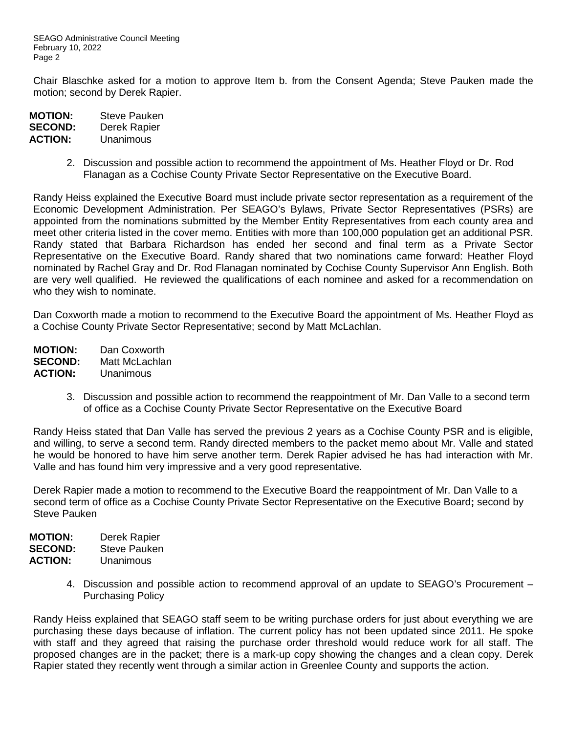Chair Blaschke asked for a motion to approve Item b. from the Consent Agenda; Steve Pauken made the motion; second by Derek Rapier.

| <b>MOTION:</b> | <b>Steve Pauken</b> |
|----------------|---------------------|
| <b>SECOND:</b> | Derek Rapier        |
| <b>ACTION:</b> | Unanimous           |

2. Discussion and possible action to recommend the appointment of Ms. Heather Floyd or Dr. Rod Flanagan as a Cochise County Private Sector Representative on the Executive Board.

Randy Heiss explained the Executive Board must include private sector representation as a requirement of the Economic Development Administration. Per SEAGO's Bylaws, Private Sector Representatives (PSRs) are appointed from the nominations submitted by the Member Entity Representatives from each county area and meet other criteria listed in the cover memo. Entities with more than 100,000 population get an additional PSR. Randy stated that Barbara Richardson has ended her second and final term as a Private Sector Representative on the Executive Board. Randy shared that two nominations came forward: Heather Floyd nominated by Rachel Gray and Dr. Rod Flanagan nominated by Cochise County Supervisor Ann English. Both are very well qualified. He reviewed the qualifications of each nominee and asked for a recommendation on who they wish to nominate.

Dan Coxworth made a motion to recommend to the Executive Board the appointment of Ms. Heather Floyd as a Cochise County Private Sector Representative; second by Matt McLachlan.

**MOTION:** Dan Coxworth **SECOND:** Matt McLachlan **ACTION:** Unanimous

> 3. Discussion and possible action to recommend the reappointment of Mr. Dan Valle to a second term of office as a Cochise County Private Sector Representative on the Executive Board

Randy Heiss stated that Dan Valle has served the previous 2 years as a Cochise County PSR and is eligible, and willing, to serve a second term. Randy directed members to the packet memo about Mr. Valle and stated he would be honored to have him serve another term. Derek Rapier advised he has had interaction with Mr. Valle and has found him very impressive and a very good representative.

Derek Rapier made a motion to recommend to the Executive Board the reappointment of Mr. Dan Valle to a second term of office as a Cochise County Private Sector Representative on the Executive Board**;** second by Steve Pauken

| <b>MOTION:</b> | Derek Rapier |
|----------------|--------------|
| <b>SECOND:</b> | Steve Pauken |
| <b>ACTION:</b> | Unanimous    |

4. Discussion and possible action to recommend approval of an update to SEAGO's Procurement – Purchasing Policy

Randy Heiss explained that SEAGO staff seem to be writing purchase orders for just about everything we are purchasing these days because of inflation. The current policy has not been updated since 2011. He spoke with staff and they agreed that raising the purchase order threshold would reduce work for all staff. The proposed changes are in the packet; there is a mark-up copy showing the changes and a clean copy. Derek Rapier stated they recently went through a similar action in Greenlee County and supports the action.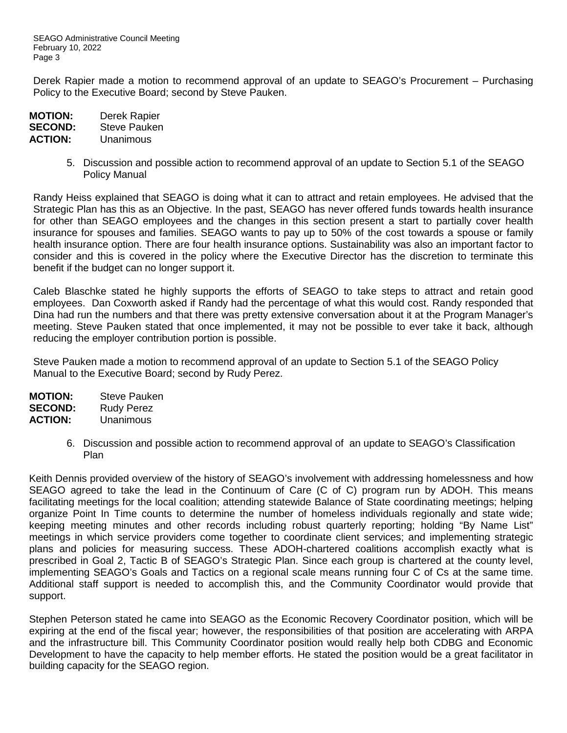SEAGO Administrative Council Meeting February 10, 2022 Page 3

Derek Rapier made a motion to recommend approval of an update to SEAGO's Procurement – Purchasing Policy to the Executive Board; second by Steve Pauken.

| <b>MOTION:</b> | Derek Rapier        |
|----------------|---------------------|
| <b>SECOND:</b> | <b>Steve Pauken</b> |
| <b>ACTION:</b> | Unanimous           |

5. Discussion and possible action to recommend approval of an update to Section 5.1 of the SEAGO Policy Manual

Randy Heiss explained that SEAGO is doing what it can to attract and retain employees. He advised that the Strategic Plan has this as an Objective. In the past, SEAGO has never offered funds towards health insurance for other than SEAGO employees and the changes in this section present a start to partially cover health insurance for spouses and families. SEAGO wants to pay up to 50% of the cost towards a spouse or family health insurance option. There are four health insurance options. Sustainability was also an important factor to consider and this is covered in the policy where the Executive Director has the discretion to terminate this benefit if the budget can no longer support it.

Caleb Blaschke stated he highly supports the efforts of SEAGO to take steps to attract and retain good employees. Dan Coxworth asked if Randy had the percentage of what this would cost. Randy responded that Dina had run the numbers and that there was pretty extensive conversation about it at the Program Manager's meeting. Steve Pauken stated that once implemented, it may not be possible to ever take it back, although reducing the employer contribution portion is possible.

Steve Pauken made a motion to recommend approval of an update to Section 5.1 of the SEAGO Policy Manual to the Executive Board; second by Rudy Perez.

| <b>MOTION:</b> | <b>Steve Pauken</b> |
|----------------|---------------------|
| <b>SECOND:</b> | <b>Rudy Perez</b>   |
| <b>ACTION:</b> | Unanimous           |

6. Discussion and possible action to recommend approval of an update to SEAGO's Classification Plan

Keith Dennis provided overview of the history of SEAGO's involvement with addressing homelessness and how SEAGO agreed to take the lead in the Continuum of Care (C of C) program run by ADOH. This means facilitating meetings for the local coalition; attending statewide Balance of State coordinating meetings; helping organize Point In Time counts to determine the number of homeless individuals regionally and state wide; keeping meeting minutes and other records including robust quarterly reporting; holding "By Name List" meetings in which service providers come together to coordinate client services; and implementing strategic plans and policies for measuring success. These ADOH-chartered coalitions accomplish exactly what is prescribed in Goal 2, Tactic B of SEAGO's Strategic Plan. Since each group is chartered at the county level, implementing SEAGO's Goals and Tactics on a regional scale means running four C of Cs at the same time. Additional staff support is needed to accomplish this, and the Community Coordinator would provide that support.

Stephen Peterson stated he came into SEAGO as the Economic Recovery Coordinator position, which will be expiring at the end of the fiscal year; however, the responsibilities of that position are accelerating with ARPA and the infrastructure bill. This Community Coordinator position would really help both CDBG and Economic Development to have the capacity to help member efforts. He stated the position would be a great facilitator in building capacity for the SEAGO region.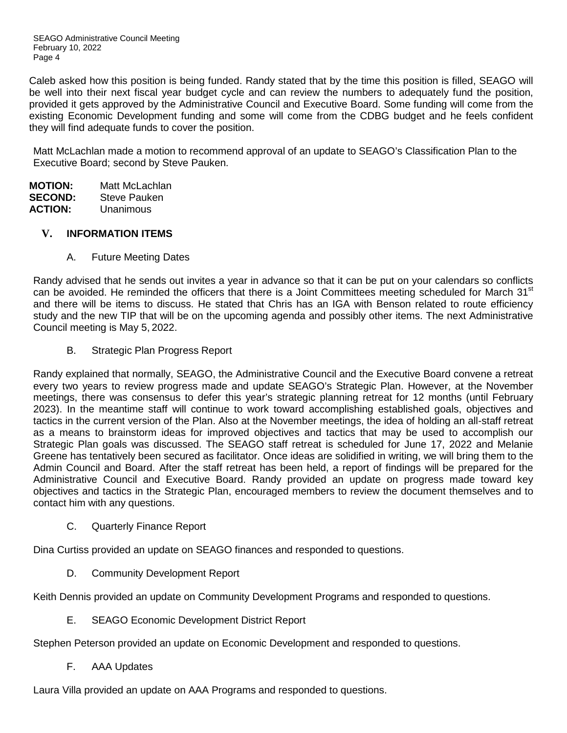SEAGO Administrative Council Meeting February 10, 2022 Page 4

Caleb asked how this position is being funded. Randy stated that by the time this position is filled, SEAGO will be well into their next fiscal year budget cycle and can review the numbers to adequately fund the position, provided it gets approved by the Administrative Council and Executive Board. Some funding will come from the existing Economic Development funding and some will come from the CDBG budget and he feels confident they will find adequate funds to cover the position.

Matt McLachlan made a motion to recommend approval of an update to SEAGO's Classification Plan to the Executive Board; second by Steve Pauken.

**MOTION:** Matt McLachlan **SECOND:** Steve Pauken<br>**ACTION:** Unanimous **ACTION:** Unanimous

### **V. INFORMATION ITEMS**

A. Future Meeting Dates

Randy advised that he sends out invites a year in advance so that it can be put on your calendars so conflicts can be avoided. He reminded the officers that there is a Joint Committees meeting scheduled for March 31<sup>st</sup> and there will be items to discuss. He stated that Chris has an IGA with Benson related to route efficiency study and the new TIP that will be on the upcoming agenda and possibly other items. The next Administrative Council meeting is May 5, 2022.

B. Strategic Plan Progress Report

Randy explained that normally, SEAGO, the Administrative Council and the Executive Board convene a retreat every two years to review progress made and update SEAGO's Strategic Plan. However, at the November meetings, there was consensus to defer this year's strategic planning retreat for 12 months (until February 2023). In the meantime staff will continue to work toward accomplishing established goals, objectives and tactics in the current version of the Plan. Also at the November meetings, the idea of holding an all-staff retreat as a means to brainstorm ideas for improved objectives and tactics that may be used to accomplish our Strategic Plan goals was discussed. The SEAGO staff retreat is scheduled for June 17, 2022 and Melanie Greene has tentatively been secured as facilitator. Once ideas are solidified in writing, we will bring them to the Admin Council and Board. After the staff retreat has been held, a report of findings will be prepared for the Administrative Council and Executive Board. Randy provided an update on progress made toward key objectives and tactics in the Strategic Plan, encouraged members to review the document themselves and to contact him with any questions.

C. Quarterly Finance Report

Dina Curtiss provided an update on SEAGO finances and responded to questions.

D. Community Development Report

Keith Dennis provided an update on Community Development Programs and responded to questions.

E. SEAGO Economic Development District Report

Stephen Peterson provided an update on Economic Development and responded to questions.

F. AAA Updates

Laura Villa provided an update on AAA Programs and responded to questions.